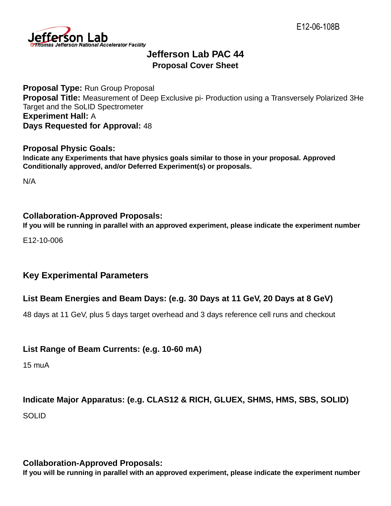

# **Jefferson Lab PAC 44 Proposal Cover Sheet**

**Proposal Type:** Run Group Proposal **Proposal Title:** Measurement of Deep Exclusive pi- Production using a Transversely Polarized 3He Target and the SoLID Spectrometer **Experiment Hall:** A **Days Requested for Approval:** 48

#### **Proposal Physic Goals:**

**Indicate any Experiments that have physics goals similar to those in your proposal. Approved Conditionally approved, and/or Deferred Experiment(s) or proposals.**

N/A

#### **Collaboration-Approved Proposals:**

**If you will be running in parallel with an approved experiment, please indicate the experiment number**

E12-10-006

#### **Key Experimental Parameters**

#### **List Beam Energies and Beam Days: (e.g. 30 Days at 11 GeV, 20 Days at 8 GeV)**

48 days at 11 GeV, plus 5 days target overhead and 3 days reference cell runs and checkout

#### **List Range of Beam Currents: (e.g. 10-60 mA)**

15 muA

# **Indicate Major Apparatus: (e.g. CLAS12 & RICH, GLUEX, SHMS, HMS, SBS, SOLID)**

SOLID

#### **Collaboration-Approved Proposals:**

**If you will be running in parallel with an approved experiment, please indicate the experiment number**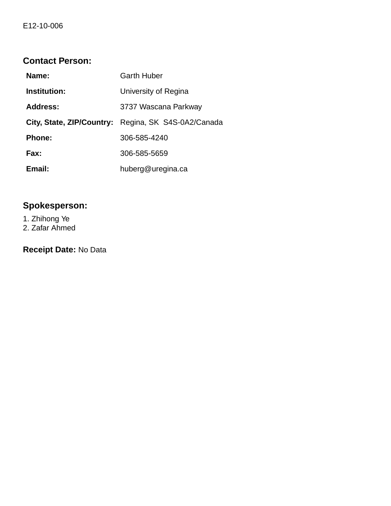## **Contact Person:**

| Name:               | <b>Garth Huber</b>                                  |
|---------------------|-----------------------------------------------------|
| <b>Institution:</b> | University of Regina                                |
| <b>Address:</b>     | 3737 Wascana Parkway                                |
|                     | City, State, ZIP/Country: Regina, SK S4S-0A2/Canada |
| <b>Phone:</b>       | 306-585-4240                                        |
| Fax:                | 306-585-5659                                        |
| Email:              | huberg@uregina.ca                                   |

# **Spokesperson:**

1. Zhihong Ye 2. Zafar Ahmed

**Receipt Date:** No Data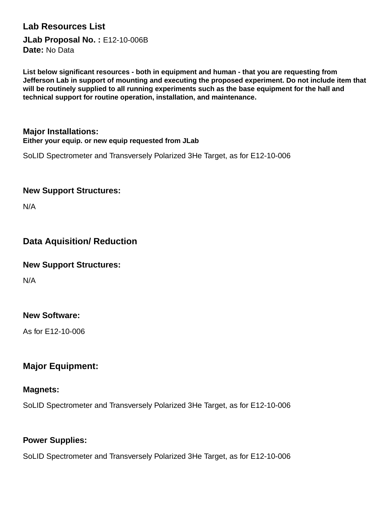## **Lab Resources List**

**JLab Proposal No. :** E12-10-006B **Date:** No Data

**List below significant resources - both in equipment and human - that you are requesting from Jefferson Lab in support of mounting and executing the proposed experiment. Do not include item that will be routinely supplied to all running experiments such as the base equipment for the hall and technical support for routine operation, installation, and maintenance.**

#### **Major Installations: Either your equip. or new equip requested from JLab**

SoLID Spectrometer and Transversely Polarized 3He Target, as for E12-10-006

#### **New Support Structures:**

N/A

## **Data Aquisition/ Reduction**

#### **New Support Structures:**

N/A

#### **New Software:**

As for E12-10-006

## **Major Equipment:**

#### **Magnets:**

SoLID Spectrometer and Transversely Polarized 3He Target, as for E12-10-006

#### **Power Supplies:**

SoLID Spectrometer and Transversely Polarized 3He Target, as for E12-10-006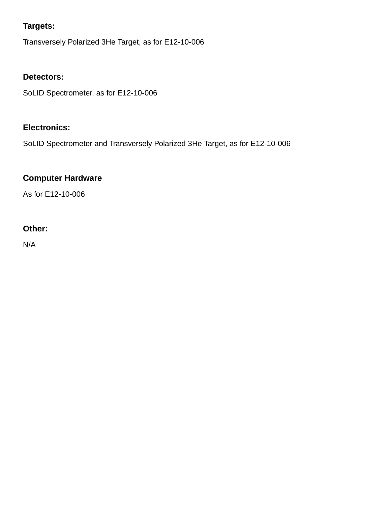## **Targets:**

Transversely Polarized 3He Target, as for E12-10-006

## **Detectors:**

SoLID Spectrometer, as for E12-10-006

## **Electronics:**

SoLID Spectrometer and Transversely Polarized 3He Target, as for E12-10-006

## **Computer Hardware**

As for E12-10-006

#### **Other:**

N/A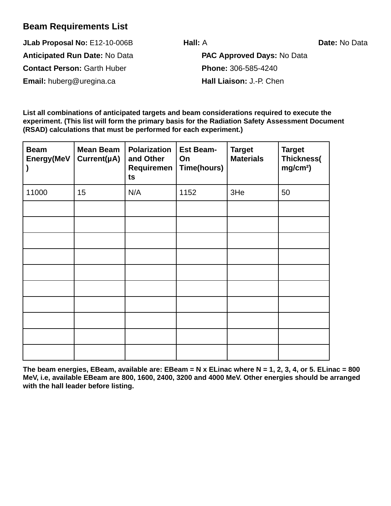## **Beam Requirements List**

**JLab Proposal No:** E12-10-006B **Hall:** A **Date:** No Data **Anticipated Run Date:** No Data **PAC Approved Days:** No Data **Contact Person:** Garth Huber **Phone:** 306-585-4240

**Email:** huberg@uregina.ca **Hall Liaison:** J.-P. Chen

**List all combinations of anticipated targets and beam considerations required to execute the experiment. (This list will form the primary basis for the Radiation Safety Assessment Document (RSAD) calculations that must be performed for each experiment.)**

| <b>Beam</b><br>Energy(MeV | <b>Mean Beam</b><br>Current(µA) | <b>Polarization</b><br>and Other<br>Requiremen<br>ts | <b>Est Beam-</b><br>On<br>Time(hours) | <b>Target</b><br><b>Materials</b> | <b>Target</b><br>Thickness(<br>mg/cm <sup>2</sup> ) |
|---------------------------|---------------------------------|------------------------------------------------------|---------------------------------------|-----------------------------------|-----------------------------------------------------|
| 11000                     | 15                              | N/A                                                  | 1152                                  | 3He                               | 50                                                  |
|                           |                                 |                                                      |                                       |                                   |                                                     |
|                           |                                 |                                                      |                                       |                                   |                                                     |
|                           |                                 |                                                      |                                       |                                   |                                                     |
|                           |                                 |                                                      |                                       |                                   |                                                     |
|                           |                                 |                                                      |                                       |                                   |                                                     |
|                           |                                 |                                                      |                                       |                                   |                                                     |
|                           |                                 |                                                      |                                       |                                   |                                                     |
|                           |                                 |                                                      |                                       |                                   |                                                     |
|                           |                                 |                                                      |                                       |                                   |                                                     |
|                           |                                 |                                                      |                                       |                                   |                                                     |

**The beam energies, EBeam, available are: EBeam = N x ELinac where N = 1, 2, 3, 4, or 5. ELinac = 800 MeV, i.e, available EBeam are 800, 1600, 2400, 3200 and 4000 MeV. Other energies should be arranged with the hall leader before listing.**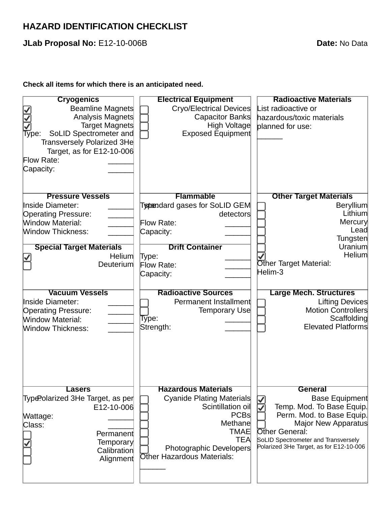# **HAZARD IDENTIFICATION CHECKLIST**

**JLab Proposal No:** E12-10-006B **Date:** No Data

#### **Check all items for which there is an anticipated need.**

| <b>Cryogenics</b>                | <b>Electrical Equipment</b>       | <b>Radioactive Materials</b>                     |
|----------------------------------|-----------------------------------|--------------------------------------------------|
| Beamline Magnets                 | Cryo/Electrical Devices           | List radioactive or                              |
| Analysis Magnets                 | Capacitor Banks                   | hazardous/toxic materials                        |
| Target Magnets                   | High Voltage                      | planned for use:                                 |
| SoLID Spectrometer and<br>Type:  | <b>Exposed Equipment</b>          |                                                  |
| Transversely Polarized 3He       |                                   |                                                  |
| Target, as for E12-10-006        |                                   |                                                  |
| Flow Rate:                       |                                   |                                                  |
| Capacity:                        |                                   |                                                  |
|                                  |                                   |                                                  |
|                                  |                                   |                                                  |
| <b>Pressure Vessels</b>          | <b>Flammable</b>                  | <b>Other Target Materials</b>                    |
| Inside Diameter:                 | Typendard gases for SoLID GEM     | <b>Beryllium</b>                                 |
| <b>Operating Pressure:</b>       | detectors                         | Lithium                                          |
| <b>Window Material:</b>          | Flow Rate:                        | Mercury                                          |
| <b>Window Thickness:</b>         | Capacity:                         | Lead<br>Tungsten                                 |
| <b>Special Target Materials</b>  | <b>Drift Container</b>            | Uranium                                          |
| Helium                           |                                   | Helium                                           |
| Deuterium                        | Type:<br>Flow Rate:               | Other Target Material:                           |
|                                  | Capacity:                         | Helim-3                                          |
|                                  |                                   |                                                  |
| <b>Vacuum Vessels</b>            | <b>Radioactive Sources</b>        | <b>Large Mech. Structures</b>                    |
|                                  |                                   |                                                  |
|                                  |                                   |                                                  |
| Inside Diameter:                 | Permanent Installment             | Lifting Devices                                  |
| <b>Operating Pressure:</b>       | Temporary Use                     | Motion Controllers                               |
| <b>Window Material:</b>          | Type:                             | Scaffolding                                      |
| <b>Window Thickness:</b>         | Strength:                         | <b>Elevated Platforms</b>                        |
|                                  |                                   |                                                  |
|                                  |                                   |                                                  |
|                                  |                                   |                                                  |
|                                  |                                   |                                                  |
|                                  |                                   |                                                  |
|                                  |                                   |                                                  |
| <b>Lasers</b>                    | <b>Hazardous Materials</b>        | <b>General</b>                                   |
| Type?olarized 3He Target, as per | Cyanide Plating Materials         | <b>Base Equipment</b>                            |
| E12-10-006                       | Scintillation oil<br>PCBs         | Temp. Mod. To Base Equip.                        |
| Wattage:                         | Methane                           | Perm. Mod. to Base Equip.<br>Major New Apparatus |
| Class:                           | <b>TMAE</b>                       | Other General:                                   |
| Permanent                        | <b>TEA</b>                        | SoLID Spectrometer and Transversely              |
| <b>Temporary</b><br>Calibration  | Photographic Developers           | Polarized 3He Target, as for E12-10-006          |
| Alignment                        | <b>Other Hazardous Materials:</b> |                                                  |
|                                  |                                   |                                                  |
|                                  |                                   |                                                  |